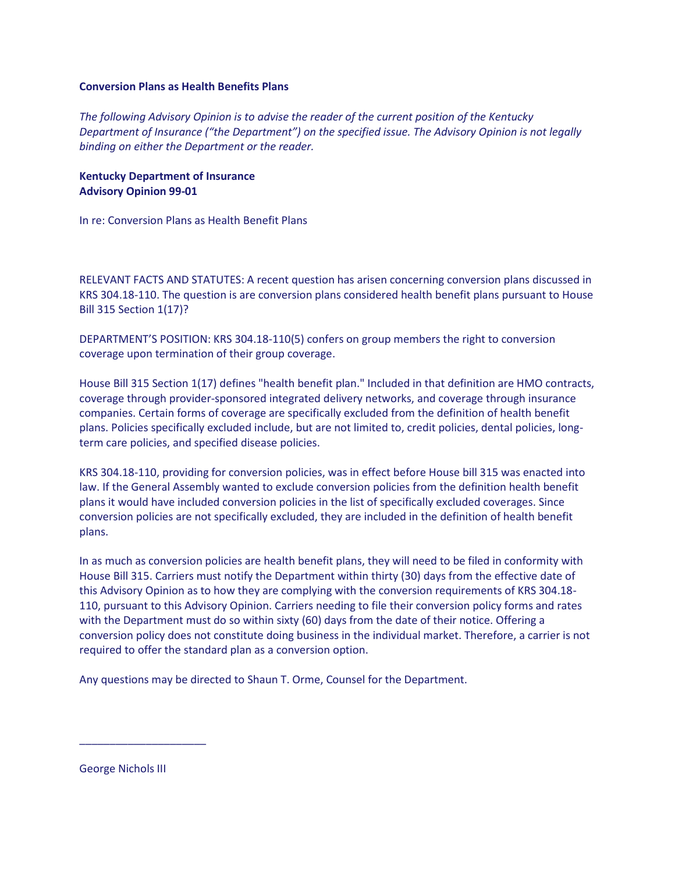## **Conversion Plans as Health Benefits Plans**

*The following Advisory Opinion is to advise the reader of the current position of the Kentucky Department of Insurance ("the Department") on the specified issue. The Advisory Opinion is not legally binding on either the Department or the reader.*

**Kentucky Department of Insurance Advisory Opinion 99-01**

In re: Conversion Plans as Health Benefit Plans

RELEVANT FACTS AND STATUTES: A recent question has arisen concerning conversion plans discussed in KRS 304.18-110. The question is are conversion plans considered health benefit plans pursuant to House Bill 315 Section 1(17)?

DEPARTMENT'S POSITION: KRS 304.18-110(5) confers on group members the right to conversion coverage upon termination of their group coverage.

House Bill 315 Section 1(17) defines "health benefit plan." Included in that definition are HMO contracts, coverage through provider-sponsored integrated delivery networks, and coverage through insurance companies. Certain forms of coverage are specifically excluded from the definition of health benefit plans. Policies specifically excluded include, but are not limited to, credit policies, dental policies, longterm care policies, and specified disease policies.

KRS 304.18-110, providing for conversion policies, was in effect before House bill 315 was enacted into law. If the General Assembly wanted to exclude conversion policies from the definition health benefit plans it would have included conversion policies in the list of specifically excluded coverages. Since conversion policies are not specifically excluded, they are included in the definition of health benefit plans.

In as much as conversion policies are health benefit plans, they will need to be filed in conformity with House Bill 315. Carriers must notify the Department within thirty (30) days from the effective date of this Advisory Opinion as to how they are complying with the conversion requirements of KRS 304.18- 110, pursuant to this Advisory Opinion. Carriers needing to file their conversion policy forms and rates with the Department must do so within sixty (60) days from the date of their notice. Offering a conversion policy does not constitute doing business in the individual market. Therefore, a carrier is not required to offer the standard plan as a conversion option.

Any questions may be directed to Shaun T. Orme, Counsel for the Department.

George Nichols III

\_\_\_\_\_\_\_\_\_\_\_\_\_\_\_\_\_\_\_\_\_